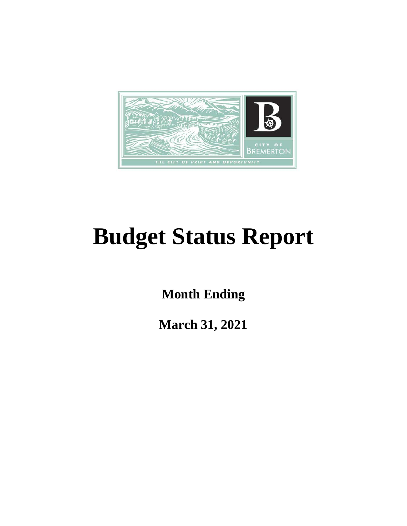

# **Budget Status Report**

**Month Ending**

**March 31, 2021**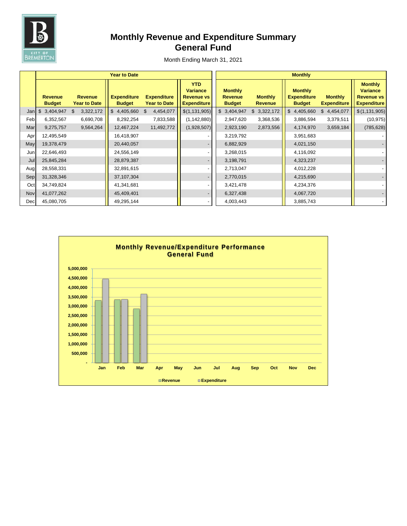

# **Monthly Revenue and Expenditure Summary General Fund**

|     |                                 |                                       | <b>Year to Date</b>                 |                                           | <b>Monthly</b>                                                           |                                                   |                                  |                                                       |                                      |                                                                              |  |
|-----|---------------------------------|---------------------------------------|-------------------------------------|-------------------------------------------|--------------------------------------------------------------------------|---------------------------------------------------|----------------------------------|-------------------------------------------------------|--------------------------------------|------------------------------------------------------------------------------|--|
|     | <b>Revenue</b><br><b>Budget</b> | <b>Revenue</b><br><b>Year to Date</b> | <b>Expenditure</b><br><b>Budget</b> | <b>Expenditure</b><br><b>Year to Date</b> | <b>YTD</b><br><b>Variance</b><br><b>Revenue vs</b><br><b>Expenditure</b> | <b>Monthly</b><br><b>Revenue</b><br><b>Budget</b> | <b>Monthly</b><br><b>Revenue</b> | <b>Monthly</b><br><b>Expenditure</b><br><b>Budget</b> | <b>Monthly</b><br><b>Expenditure</b> | <b>Monthly</b><br><b>Variance</b><br><b>Revenue vs</b><br><b>Expenditure</b> |  |
| Jan | 3,404,947<br>\$                 | 3,322,172<br>\$                       | $$4,405,660$ \$                     | 4,454,077                                 | \$(1,131,905)                                                            | \$3,404,947                                       | \$3,322,172                      | \$4,405,660                                           | \$4,454,077                          | \$(1, 131, 905)                                                              |  |
| Feb | 6,352,567                       | 6,690,708                             | 8,292,254                           | 7,833,588                                 | (1, 142, 880)                                                            | 2,947,620                                         | 3,368,536                        | 3,886,594                                             | 3,379,511                            | (10, 975)                                                                    |  |
| Mar | 9,275,757                       | 9,564,264                             | 12,467,224                          | 11,492,772                                | (1,928,507)                                                              | 2,923,190                                         | 2,873,556                        | 4,174,970                                             | 3,659,184                            | (785, 628)                                                                   |  |
| Apr | 12,495,549                      |                                       | 16,418,907                          |                                           |                                                                          | 3,219,792                                         |                                  | 3,951,683                                             |                                      |                                                                              |  |
| May | 19,378,479                      |                                       | 20,440,057                          |                                           |                                                                          | 6,882,929                                         |                                  | 4,021,150                                             |                                      |                                                                              |  |
| Jun | 22,646,493                      |                                       | 24,556,149                          |                                           |                                                                          | 3,268,015                                         |                                  | 4,116,092                                             |                                      |                                                                              |  |
| Jul | 25,845,284                      |                                       | 28,879,387                          |                                           |                                                                          | 3,198,791                                         |                                  | 4,323,237                                             |                                      |                                                                              |  |
| Aug | 28,558,331                      |                                       | 32,891,615                          |                                           |                                                                          | 2,713,047                                         |                                  | 4,012,228                                             |                                      |                                                                              |  |
| Sep | 31,328,346                      |                                       | 37,107,304                          |                                           |                                                                          | 2,770,015                                         |                                  | 4,215,690                                             |                                      |                                                                              |  |
| Oct | 34,749,824                      |                                       | 41,341,681                          |                                           |                                                                          | 3,421,478                                         |                                  | 4,234,376                                             |                                      |                                                                              |  |
| Nov | 41,077,262                      |                                       | 45,409,401                          |                                           |                                                                          | 6,327,438                                         |                                  | 4,067,720                                             |                                      |                                                                              |  |
| Dec | 45,080,705                      |                                       | 49,295,144                          |                                           |                                                                          | 4,003,443                                         |                                  | 3,885,743                                             |                                      |                                                                              |  |

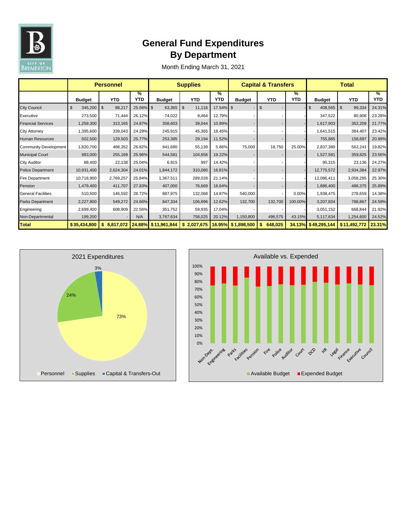

# **General Fund Expenditures By Department**

|                              | <b>Personnel</b> |              |                 | <b>Supplies</b> |              |                 | <b>Capital &amp; Transfers</b> |                          |                 | <b>Total</b>  |                |           |
|------------------------------|------------------|--------------|-----------------|-----------------|--------------|-----------------|--------------------------------|--------------------------|-----------------|---------------|----------------|-----------|
|                              | <b>Budget</b>    | <b>YTD</b>   | %<br><b>YTD</b> | <b>Budget</b>   | <b>YTD</b>   | %<br><b>YTD</b> | <b>Budget</b>                  | <b>YTD</b>               | %<br><b>YTD</b> | <b>Budget</b> | <b>YTD</b>     | %<br>YTD. |
| <b>City Council</b>          | 345,200<br>\$    | \$<br>88,217 | 25.56% \$       | 63,365          | \$<br>11,116 | 17.54% \$       |                                | \$                       |                 | 408,565<br>\$ | 99,334<br>l \$ | 24.31%    |
| Executive                    | 273,500          | 71,444       | 26.12%          | 74,022          | 9,464        | 12.79%          |                                |                          |                 | 347,522       | 80,908         | 23.28%    |
| <b>Financial Services</b>    | 1,259,300        | 313,165      | 24.87%          | 358,603         | 39,044       | 10.89%          |                                | $\overline{\phantom{a}}$ |                 | 1,617,903     | 352,209        | 21.77%    |
| City Attorney                | 1,395,600        | 339,043      | 24.29%          | 245,915         | 45,365       | 18.45%          |                                |                          |                 | 1,641,515     | 384,407        | 23.42%    |
| <b>Human Resources</b>       | 502,500          | 129,503      | 25.77%          | 253,385         | 29,194       | 11.52%          |                                |                          |                 | 755,885       | 158,697        | 20.99%    |
| <b>Community Development</b> | 1,820,700        | 488,352      | 26.82%          | 941,680         | 55,139       | 5.86%           | 75,000                         | 18,750                   | 25.00%          | 2,837,380     | 562,241        | 19.82%    |
| <b>Municipal Court</b>       | 983,000          | 255,169      | 25.96%          | 544,581         | 104,656      | 19.22%          |                                |                          |                 | 1,527,581     | 359,825        | 23.56%    |
| City Auditor                 | 88,400           | 22,138       | 25.04%          | 6,915           | 997          | 14.42%          |                                |                          |                 | 95,315        | 23,136         | 24.27%    |
| <b>Police Department</b>     | 10,931,400       | 2,624,304    | 24.01%          | 1,844,172       | 310,080      | 16.81%          |                                |                          |                 | 12,775,572    | 2,934,384      | 22.97%    |
| <b>Fire Department</b>       | 10,718,900       | 2,769,257    | 25.84%          | 1,367,511       | 289,028      | 21.14%          |                                |                          |                 | 12,086,411    | 3,058,285      | 25.30%    |
| Pension                      | 1,479,400        | 411,707      | 27.83%          | 407,000         | 76,669       | 18.84%          |                                |                          |                 | 1,886,400     | 488,375        | 25.89%    |
| <b>General Facilities</b>    | 510,500          | 146,592      | 28.72%          | 887,975         | 132,068      | 14.87%          | 540,000                        |                          | 0.00%           | 1,938,475     | 278,659        | 14.38%    |
| Parks Department             | 2,227,800        | 549,272      | 24.66%          | 847,334         | 106,896      | 12.62%          | 132,700                        | 132,700                  | 100.00%         | 3,207,834     | 788,867        | 24.59%    |
| Engineering                  | 2,699,400        | 608,909      | 22.56%          | 351,752         | 59,935       | 17.04%          |                                |                          |                 | 3,051,152     | 668,844        | 21.92%    |
| Non-Departmental             | 199,200          |              | N/A             | 3,767,634       | 758,025      | 20.12%          | 1,150,800                      | 496,575                  | 43.15%          | 5,117,634     | 1,254,600      | 24.52%    |
| <b>Total</b>                 | \$35,434,800     | \$8,817,072  | 24.88%          | \$11,961,844    | \$2,027,675  |                 | 16.95% \$1,898,500             | \$<br>648,025            | 34.13%          | \$49,295,144  | \$11,492,772   | 23.31%    |



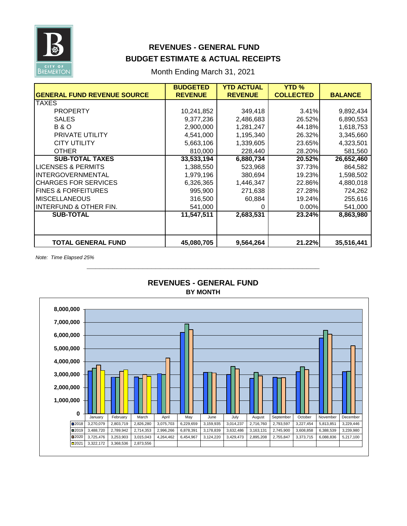

## **REVENUES - GENERAL FUND BUDGET ESTIMATE & ACTUAL RECEIPTS**

Month Ending March 31, 2021

|                                    | <b>BUDGETED</b> | <b>YTD ACTUAL</b> | <b>YTD %</b>     |                |
|------------------------------------|-----------------|-------------------|------------------|----------------|
| <b>GENERAL FUND REVENUE SOURCE</b> | <b>REVENUE</b>  | <b>REVENUE</b>    | <b>COLLECTED</b> | <b>BALANCE</b> |
| TAXES                              |                 |                   |                  |                |
| <b>PROPERTY</b>                    | 10,241,852      | 349,418           | 3.41%            | 9,892,434      |
| <b>SALES</b>                       | 9,377,236       | 2,486,683         | 26.52%           | 6,890,553      |
| <b>B&amp;O</b>                     | 2,900,000       | 1,281,247         | 44.18%           | 1,618,753      |
| PRIVATE UTILITY                    | 4,541,000       | 1,195,340         | 26.32%           | 3,345,660      |
| <b>CITY UTILITY</b>                | 5,663,106       | 1,339,605         | 23.65%           | 4,323,501      |
| <b>OTHER</b>                       | 810,000         | 228,440           | 28.20%           | 581,560        |
| <b>SUB-TOTAL TAXES</b>             | 33,533,194      | 6,880,734         | 20.52%           | 26,652,460     |
| LICENSES & PERMITS                 | 1,388,550       | 523,968           | 37.73%           | 864,582        |
| <b>INTERGOVERNMENTAL</b>           | 1,979,196       | 380,694           | 19.23%           | 1,598,502      |
| <b>CHARGES FOR SERVICES</b>        | 6,326,365       | 1,446,347         | 22.86%           | 4,880,018      |
| <b>FINES &amp; FORFEITURES</b>     | 995,900         | 271,638           | 27.28%           | 724,262        |
| <b>MISCELLANEOUS</b>               | 316,500         | 60,884            | 19.24%           | 255,616        |
| <b>INTERFUND &amp; OTHER FIN.</b>  | 541,000         | 0                 | 0.00%            | 541,000        |
| <b>SUB-TOTAL</b>                   | 11,547,511      | 2,683,531         | 23.24%           | 8,863,980      |
|                                    |                 |                   |                  |                |
|                                    |                 |                   |                  |                |
| <b>TOTAL GENERAL FUND</b>          | 45,080,705      | 9,564,264         | 21.22%           | 35,516,441     |

*Note: Time Elapsed 25%*



## **BY MONTH REVENUES - GENERAL FUND**

**\_\_\_\_\_\_\_\_\_\_\_\_\_\_\_\_\_\_\_\_\_\_\_\_\_\_\_\_\_\_\_\_\_\_\_\_\_\_\_\_\_\_\_\_\_\_\_\_\_\_\_\_\_\_**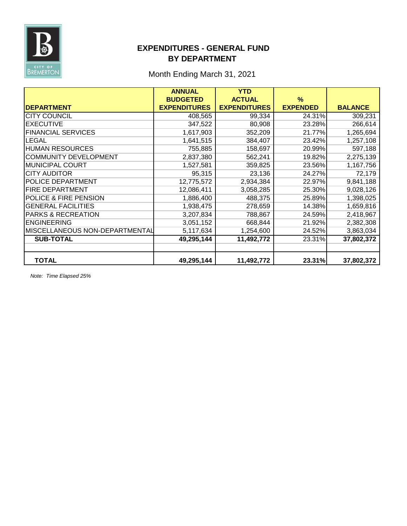

## **EXPENDITURES - GENERAL FUND BY DEPARTMENT**

## Month Ending March 31, 2021

|                                | <b>ANNUAL</b>       | <b>YTD</b>          |                 |                |
|--------------------------------|---------------------|---------------------|-----------------|----------------|
|                                | <b>BUDGETED</b>     | <b>ACTUAL</b>       | $\%$            |                |
| <b>DEPARTMENT</b>              | <b>EXPENDITURES</b> | <b>EXPENDITURES</b> | <b>EXPENDED</b> | <b>BALANCE</b> |
| <b>CITY COUNCIL</b>            | 408,565             | 99,334              | 24.31%          | 309,231        |
| <b>EXECUTIVE</b>               | 347,522             | 80,908              | 23.28%          | 266,614        |
| <b>FINANCIAL SERVICES</b>      | 1,617,903           | 352,209             | 21.77%          | 1,265,694      |
| <b>LEGAL</b>                   | 1,641,515           | 384,407             | 23.42%          | 1,257,108      |
| <b>HUMAN RESOURCES</b>         | 755,885             | 158,697             | 20.99%          | 597,188        |
| <b>COMMUNITY DEVELOPMENT</b>   | 2,837,380           | 562,241             | 19.82%          | 2,275,139      |
| MUNICIPAL COURT                | 1,527,581           | 359,825             | 23.56%          | 1,167,756      |
| <b>CITY AUDITOR</b>            | 95,315              | 23,136              | 24.27%          | 72,179         |
| POLICE DEPARTMENT              | 12,775,572          | 2,934,384           | 22.97%          | 9,841,188      |
| <b>FIRE DEPARTMENT</b>         | 12,086,411          | 3,058,285           | 25.30%          | 9,028,126      |
| POLICE & FIRE PENSION          | 1,886,400           | 488,375             | 25.89%          | 1,398,025      |
| <b>GENERAL FACILITIES</b>      | 1,938,475           | 278,659             | 14.38%          | 1,659,816      |
| <b>PARKS &amp; RECREATION</b>  | 3,207,834           | 788,867             | 24.59%          | 2,418,967      |
| <b>ENGINEERING</b>             | 3,051,152           | 668,844             | 21.92%          | 2,382,308      |
| MISCELLANEOUS NON-DEPARTMENTAL | 5,117,634           | 1,254,600           | 24.52%          | 3,863,034      |
| <b>SUB-TOTAL</b>               | 49,295,144          | 11,492,772          | 23.31%          | 37,802,372     |
|                                |                     |                     |                 |                |
| <b>TOTAL</b>                   | 49,295,144          | 11,492,772          | 23.31%          | 37,802,372     |

*Note: Time Elapsed 25%*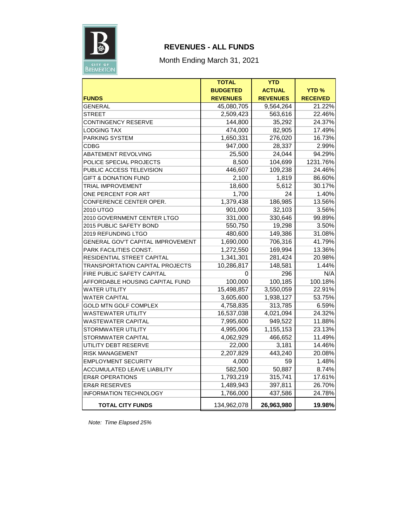

## **REVENUES - ALL FUNDS**

Month Ending March 31, 2021

|                                          | <b>TOTAL</b>    | <b>YTD</b>      |                 |
|------------------------------------------|-----------------|-----------------|-----------------|
|                                          | <b>BUDGETED</b> | <b>ACTUAL</b>   | <b>YTD%</b>     |
| <b>FUNDS</b>                             | <b>REVENUES</b> | <b>REVENUES</b> | <b>RECEIVED</b> |
| <b>GENERAL</b>                           | 45,080,705      | 9,564,264       | 21.22%          |
| <b>STREET</b>                            | 2,509,423       | 563,616         | 22.46%          |
| <b>CONTINGENCY RESERVE</b>               | 144,800         | 35,292          | 24.37%          |
| <b>LODGING TAX</b>                       | 474,000         | 82,905          | 17.49%          |
| <b>PARKING SYSTEM</b>                    | 1,650,331       | 276,020         | 16.73%          |
| <b>CDBG</b>                              | 947,000         | 28,337          | 2.99%           |
| <b>ABATEMENT REVOLVING</b>               | 25,500          | 24,044          | 94.29%          |
| POLICE SPECIAL PROJECTS                  | 8,500           | 104,699         | 1231.76%        |
| PUBLIC ACCESS TELEVISION                 | 446,607         | 109,238         | 24.46%          |
| <b>GIFT &amp; DONATION FUND</b>          | 2,100           | 1,819           | 86.60%          |
| <b>TRIAL IMPROVEMENT</b>                 | 18,600          | 5,612           | 30.17%          |
| ONE PERCENT FOR ART                      | 1,700           | 24              | 1.40%           |
| CONFERENCE CENTER OPER.                  | 1,379,438       | 186,985         | 13.56%          |
| 2010 UTGO                                | 901,000         | 32,103          | 3.56%           |
| 2010 GOVERNMENT CENTER LTGO              | 331,000         | 330,646         | 99.89%          |
| 2015 PUBLIC SAFETY BOND                  | 550,750         | 19,298          | 3.50%           |
| 2019 REFUNDING LTGO                      | 480,600         | 149,386         | 31.08%          |
| <b>GENERAL GOV'T CAPITAL IMPROVEMENT</b> | 1,690,000       | 706,316         | 41.79%          |
| PARK FACILITIES CONST.                   | 1,272,550       | 169,994         | 13.36%          |
| <b>RESIDENTIAL STREET CAPITAL</b>        | 1,341,301       | 281,424         | 20.98%          |
| TRANSPORTATION CAPITAL PROJECTS          | 10,286,817      | 148,581         | 1.44%           |
| FIRE PUBLIC SAFETY CAPITAL               | 0               | 296             | N/A             |
| AFFORDABLE HOUSING CAPITAL FUND          | 100,000         | 100,185         | 100.18%         |
| <b>WATER UTILITY</b>                     | 15,498,857      | 3,550,059       | 22.91%          |
| <b>WATER CAPITAL</b>                     | 3,605,600       | 1,938,127       | 53.75%          |
| <b>GOLD MTN GOLF COMPLEX</b>             | 4,758,835       | 313,785         | 6.59%           |
| <b>WASTEWATER UTILITY</b>                | 16,537,038      | 4,021,094       | 24.32%          |
| <b>WASTEWATER CAPITAL</b>                | 7,995,600       | 949,522         | 11.88%          |
| STORMWATER UTILITY                       | 4,995,006       | 1,155,153       | 23.13%          |
| <b>STORMWATER CAPITAL</b>                | 4,062,929       | 466,652         | 11.49%          |
| UTILITY DEBT RESERVE                     | 22,000          | 3,181           | 14.46%          |
| <b>RISK MANAGEMENT</b>                   | 2,207,829       | 443,240         | 20.08%          |
| <b>EMPLOYMENT SECURITY</b>               | 4,000           | 59              | 1.48%           |
| <b>ACCUMULATED LEAVE LIABILITY</b>       | 582,500         | 50,887          | 8.74%           |
| <b>ER&amp;R OPERATIONS</b>               | 1,793,219       | 315,741         | 17.61%          |
| <b>ER&amp;R RESERVES</b>                 | 1,489,943       | 397,811         | 26.70%          |
| <b>INFORMATION TECHNOLOGY</b>            | 1,766,000       | 437,586         | 24.78%          |
| <b>TOTAL CITY FUNDS</b>                  | 134,962,078     | 26,963,980      | 19.98%          |

*Note: Time Elapsed 25%*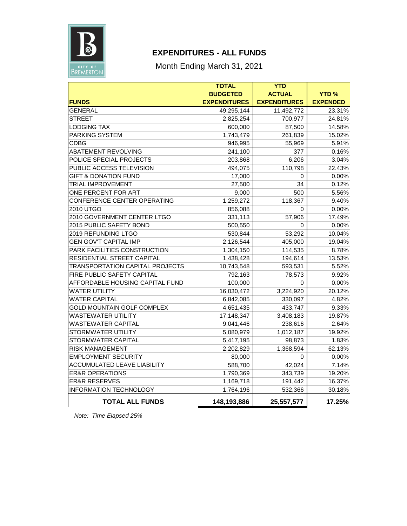

## **EXPENDITURES - ALL FUNDS**

## Month Ending March 31, 2021

|                                        | <b>TOTAL</b>        | <b>YTD</b>          |                 |
|----------------------------------------|---------------------|---------------------|-----------------|
|                                        | <b>BUDGETED</b>     | <b>ACTUAL</b>       | <b>YTD%</b>     |
| <b>FUNDS</b>                           | <b>EXPENDITURES</b> | <b>EXPENDITURES</b> | <b>EXPENDED</b> |
| <b>GENERAL</b>                         | 49,295,144          | 11,492,772          | 23.31%          |
| <b>STREET</b>                          | 2,825,254           | 700,977             | 24.81%          |
| <b>LODGING TAX</b>                     | 600,000             | 87,500              | 14.58%          |
| <b>PARKING SYSTEM</b>                  | 1,743,479           | 261,839             | 15.02%          |
| <b>CDBG</b>                            | 946,995             | 55,969              | 5.91%           |
| <b>ABATEMENT REVOLVING</b>             | 241,100             | 377                 | 0.16%           |
| POLICE SPECIAL PROJECTS                | 203,868             | 6,206               | 3.04%           |
| PUBLIC ACCESS TELEVISION               | 494,075             | 110,798             | 22.43%          |
| <b>GIFT &amp; DONATION FUND</b>        | 17,000              | 0                   | 0.00%           |
| <b>TRIAL IMPROVEMENT</b>               | 27,500              | 34                  | 0.12%           |
| ONE PERCENT FOR ART                    | 9,000               | 500                 | 5.56%           |
| CONFERENCE CENTER OPERATING            | 1,259,272           | 118,367             | 9.40%           |
| 2010 UTGO                              | 856,088             | 0                   | 0.00%           |
| 2010 GOVERNMENT CENTER LTGO            | 331,113             | 57,906              | 17.49%          |
| 2015 PUBLIC SAFETY BOND                | 500,550             | 0                   | 0.00%           |
| 2019 REFUNDING LTGO                    | 530,844             | 53,292              | 10.04%          |
| <b>GEN GOV'T CAPITAL IMP</b>           | 2,126,544           | 405,000             | 19.04%          |
| PARK FACILITIES CONSTRUCTION           | 1,304,150           | 114,535             | 8.78%           |
| RESIDENTIAL STREET CAPITAL             | 1,438,428           | 194,614             | 13.53%          |
| <b>TRANSPORTATION CAPITAL PROJECTS</b> | 10,743,548          | 593,531             | 5.52%           |
| FIRE PUBLIC SAFETY CAPITAL             | 792,163             | 78,573              | 9.92%           |
| AFFORDABLE HOUSING CAPITAL FUND        | 100,000             | 0                   | 0.00%           |
| <b>WATER UTILITY</b>                   | 16,030,472          | 3,224,920           | 20.12%          |
| <b>WATER CAPITAL</b>                   | 6,842,085           | 330,097             | 4.82%           |
| <b>GOLD MOUNTAIN GOLF COMPLEX</b>      | 4,651,435           | 433,747             | 9.33%           |
| <b>WASTEWATER UTILITY</b>              | 17,148,347          | 3,408,183           | 19.87%          |
| <b>WASTEWATER CAPITAL</b>              | 9,041,446           | 238,616             | 2.64%           |
| STORMWATER UTILITY                     | 5,080,979           | 1,012,187           | 19.92%          |
| STORMWATER CAPITAL                     | 5,417,195           | 98,873              | 1.83%           |
| <b>RISK MANAGEMENT</b>                 | 2,202,829           | 1,368,594           | 62.13%          |
| <b>EMPLOYMENT SECURITY</b>             | 80,000              | 0                   | 0.00%           |
| ACCUMULATED LEAVE LIABILITY            | 588,700             | 42,024              | 7.14%           |
| <b>ER&amp;R OPERATIONS</b>             | 1,790,369           | 343,739             | 19.20%          |
| <b>ER&amp;R RESERVES</b>               | 1,169,718           | 191,442             | 16.37%          |
| <b>INFORMATION TECHNOLOGY</b>          | 1,764,196           | 532,366             | 30.18%          |
| <b>TOTAL ALL FUNDS</b>                 | 148,193,886         | 25,557,577          | 17.25%          |

*Note: Time Elapsed 25%*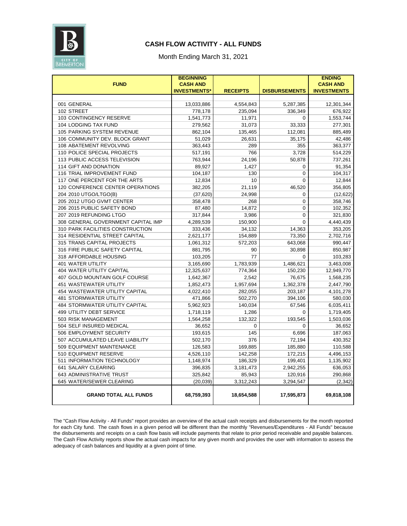

### **CASH FLOW ACTIVITY - ALL FUNDS**

#### Month Ending March 31, 2021

| <b>FUND</b>                           | <b>BEGINNING</b><br><b>CASH AND</b> |                 |                      | <b>ENDING</b><br><b>CASH AND</b> |
|---------------------------------------|-------------------------------------|-----------------|----------------------|----------------------------------|
|                                       | <b>INVESTMENTS*</b>                 | <b>RECEIPTS</b> | <b>DISBURSEMENTS</b> | <b>INVESTMENTS</b>               |
|                                       |                                     |                 |                      |                                  |
| 001 GENERAL                           | 13,033,886                          | 4,554,843       | 5,287,385            | 12,301,344                       |
| 102 STREET                            | 778,178                             | 235,094         | 336,349              | 676,922                          |
| 103 CONTINGENCY RESERVE               | 1,541,773                           | 11,971          | $\Omega$             | 1,553,744                        |
| <b>104 LODGING TAX FUND</b>           | 279,562                             | 31,073          | 33,333               | 277,301                          |
| <b>105 PARKING SYSTEM REVENUE</b>     | 862,104                             | 135,465         | 112,081              | 885,489                          |
| 106 COMMUNITY DEV. BLOCK GRANT        | 51,029                              | 26,631          | 35,175               | 42,486                           |
| 108 ABATEMENT REVOLVING               | 363,443                             | 289             | 355                  | 363,377                          |
| 110 POLICE SPECIAL PROJECTS           | 517,191                             | 766             | 3,728                | 514,229                          |
| 113 PUBLIC ACCESS TELEVISION          | 763,944                             | 24,196          | 50,878               | 737,261                          |
| 114 GIFT AND DONATION                 | 89,927                              | 1,427           | 0                    | 91,354                           |
| 116 TRIAL IMPROVEMENT FUND            | 104,187                             | 130             | 0                    | 104,317                          |
| 117 ONE PERCENT FOR THE ARTS          | 12,834                              | 10              | $\mathbf 0$          | 12,844                           |
| 120 CONFERENCE CENTER OPERATIONS      | 382,205                             | 21,119          | 46,520               | 356,805                          |
| 204 2010 UTGO/LTGO(B)                 | (37, 620)                           | 24,998          | 0                    | (12, 622)                        |
| 205 2012 UTGO GVMT CENTER             | 358.478                             | 268             | $\overline{0}$       | 358,746                          |
| 206 2015 PUBLIC SAFETY BOND           | 87,480                              | 14,872          | 0                    | 102,352                          |
| 207 2019 REFUNDING LTGO               | 317,844                             | 3,986           | $\mathbf 0$          | 321,830                          |
| 308 GENERAL GOVERNMENT CAPITAL IMP    | 4,289,539                           | 150,900         | $\mathbf 0$          | 4,440,439                        |
| 310 PARK FACILITIES CONSTRUCTION      | 333,436                             | 34,132          | 14,363               | 353,205                          |
| 314 RESIDENTIAL STREET CAPITAL        | 2,621,177                           | 154,889         | 73,350               | 2,702,716                        |
| 315 TRANS CAPITAL PROJECTS            | 1,061,312                           | 572,203         | 643,068              | 990,447                          |
| 316 FIRE PUBLIC SAFETY CAPITAL        | 881,795                             | 90              | 30,898               | 850,987                          |
| 318 AFFORDABLE HOUSING                | 103,205                             | 77              | 0                    | 103,283                          |
| <b>401 WATER UTILITY</b>              | 3,165,690                           | 1,783,939       | 1,486,621            | 3,463,008                        |
| <b>404 WATER UTILITY CAPITAL</b>      | 12,325,637                          | 774,364         | 150,230              | 12,949,770                       |
| 407 GOLD MOUNTAIN GOLF COURSE         | 1,642,367                           | 2,542           | 76,675               | 1,568,235                        |
| 451 WASTEWATER UTILITY                | 1,852,473                           | 1,957,694       | 1,362,378            | 2,447,790                        |
| 454 WASTEWATER UTILITY CAPITAL        | 4,022,410                           | 282,055         | 203,187              | 4,101,278                        |
| <b>481 STORMWATER UTILITY</b>         | 471,866                             | 502,270         | 394,106              | 580,030                          |
| <b>484 STORMWATER UTILITY CAPITAL</b> | 5,962,923                           | 140,034         | 67,546               | 6,035,411                        |
| 499 UTILITY DEBT SERVICE              | 1,718,119                           | 1,286           | 0                    | 1,719,405                        |
| 503 RISK MANAGEMENT                   | 1,564,258                           | 132,322         | 193,545              | 1,503,036                        |
| 504 SELF INSURED MEDICAL              | 36,652                              | $\mathbf 0$     | 0                    | 36,652                           |
| 506 EMPLOYMENT SECURITY               | 193,615                             | 145             | 6,696                | 187,063                          |
| 507 ACCUMULATED LEAVE LIABILITY       | 502,170                             | 376             | 72,194               | 430,352                          |
| 509 EQUIPMENT MAINTENANCE             | 126,583                             | 169,885         | 185,880              | 110,588                          |
| 510 EQUIPMENT RESERVE                 | 4,526,110                           | 142,258         | 172,215              | 4,496,153                        |
| 511 INFORMATION TECHNOLOGY            | 1,148,974                           | 186,329         | 199,401              | 1,135,902                        |
| 641 SALARY CLEARING                   | 396,835                             | 3,181,473       | 2,942,255            | 636,053                          |
| 643 ADMINISTRATIVE TRUST              | 325,842                             | 85,943          | 120,916              | 290,868                          |
| 645 WATER/SEWER CLEARING              | (20, 039)                           | 3,312,243       | 3,294,547            | (2, 342)                         |
| <b>GRAND TOTAL ALL FUNDS</b>          | 68,759,393                          | 18,654,588      | 17,595,873           | 69,818,108                       |

The "Cash Flow Activity - All Funds" report provides an overview of the actual cash receipts and disbursements for the month reported for each City fund. The cash flows in a given period will be different than the monthly "Revenues/Expenditures - All Funds" because the disbursements and receipts on a cash flow basis will include payments that relate to prior period receivable and payable balances. The Cash Flow Activity reports show the actual cash impacts for any given month and provides the user with information to assess the adequacy of cash balances and liquidity at a given point of time.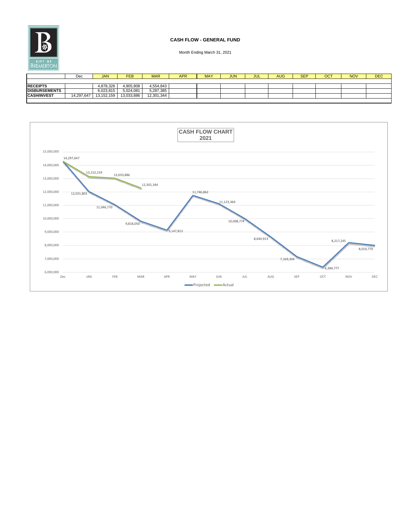

#### **CASH FLOW - GENERAL FUND**

|                      | Dec        | <b>JAN</b> | <b>FEB</b> | <b>MAR</b> | <b>APR</b> | <b>MAY</b> | <b>JUN</b> | JUL | <b>AUG</b> | <b>SEP</b> | ост | <b>NOV</b> | <b>DEC</b> |
|----------------------|------------|------------|------------|------------|------------|------------|------------|-----|------------|------------|-----|------------|------------|
|                      |            |            |            |            |            |            |            |     |            |            |     |            |            |
| <b>RECEIPTS</b>      |            | 4,878,326  | 4,905,808  | 4,554,843  |            |            |            |     |            |            |     |            |            |
| <b>DISBURSEMENTS</b> |            | 6,023,815  | 5,024,081  | 5,287,385  |            |            |            |     |            |            |     |            |            |
| <b>CASH/INVEST</b>   | 14,297,647 | 13,152,159 | 13,033,886 | 12,301,344 |            |            |            |     |            |            |     |            |            |
|                      |            |            |            |            |            |            |            |     |            |            |     |            |            |